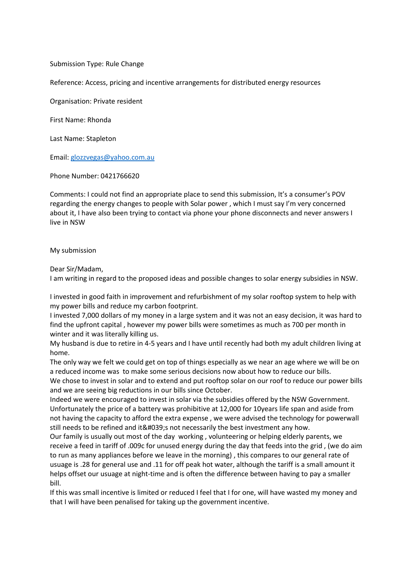Submission Type: Rule Change

Reference: Access, pricing and incentive arrangements for distributed energy resources

Organisation: Private resident

First Name: Rhonda

Last Name: Stapleton

Email: [glozzvegas@yahoo.com.au](mailto:glozzvegas@yahoo.com.au)

Phone Number: 0421766620

Comments: I could not find an appropriate place to send this submission, It's a consumer's POV regarding the energy changes to people with Solar power , which I must say I'm very concerned about it, I have also been trying to contact via phone your phone disconnects and never answers I live in NSW

My submission

Dear Sir/Madam,

I am writing in regard to the proposed ideas and possible changes to solar energy subsidies in NSW.

I invested in good faith in improvement and refurbishment of my solar rooftop system to help with my power bills and reduce my carbon footprint.

I invested 7,000 dollars of my money in a large system and it was not an easy decision, it was hard to find the upfront capital , however my power bills were sometimes as much as 700 per month in winter and it was literally killing us.

My husband is due to retire in 4-5 years and I have until recently had both my adult children living at home.

The only way we felt we could get on top of things especially as we near an age where we will be on a reduced income was to make some serious decisions now about how to reduce our bills.

We chose to invest in solar and to extend and put rooftop solar on our roof to reduce our power bills and we are seeing big reductions in our bills since October.

Indeed we were encouraged to invest in solar via the subsidies offered by the NSW Government. Unfortunately the price of a battery was prohibitive at 12,000 for 10years life span and aside from not having the capacity to afford the extra expense , we were advised the technology for powerwall still needs to be refined and it's not necessarily the best investment any how.

Our family is usually out most of the day working , volunteering or helping elderly parents, we receive a feed in tariff of .009c for unused energy during the day that feeds into the grid , (we do aim to run as many appliances before we leave in the morning) , this compares to our general rate of usuage is .28 for general use and .11 for off peak hot water, although the tariff is a small amount it helps offset our usuage at night-time and is often the difference between having to pay a smaller bill.

If this was small incentive is limited or reduced I feel that I for one, will have wasted my money and that I will have been penalised for taking up the government incentive.